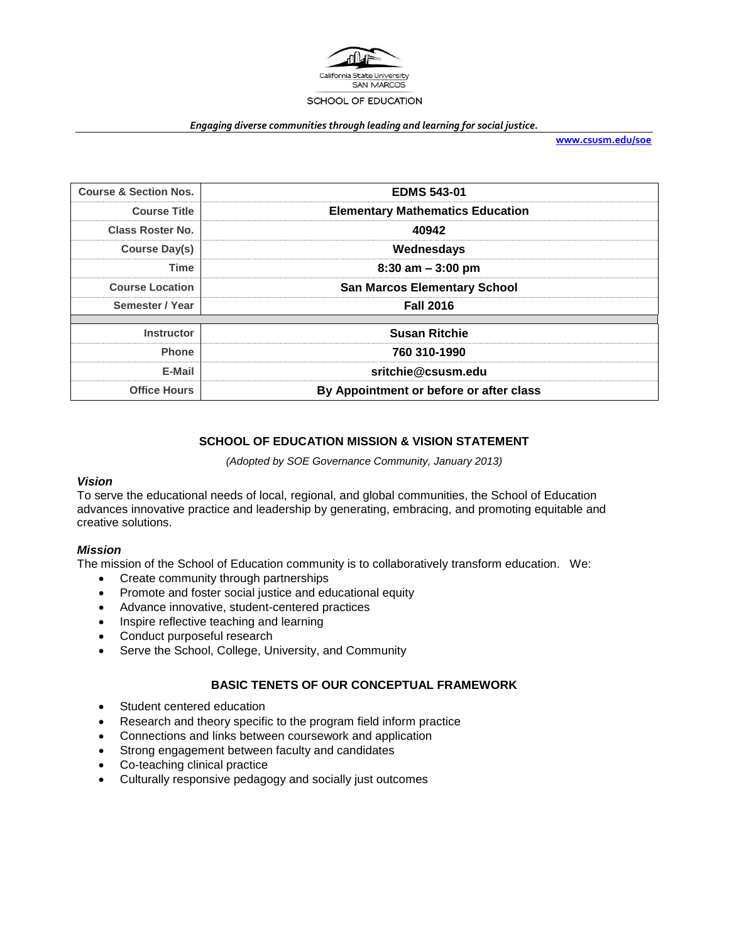

#### *Engaging diverse communities through leading and learning for social justice.*

**[www.csusm.edu/soe](http://www.csusm.edu/soe)**

| <b>Course &amp; Section Nos.</b> | <b>EDMS 543-01</b>                      |
|----------------------------------|-----------------------------------------|
| <b>Course Title</b>              | <b>Elementary Mathematics Education</b> |
| <b>Class Roster No.</b>          | 40942                                   |
| Course Day(s)                    | Wednesdays                              |
| <b>Time</b>                      | $8:30$ am $-3:00$ pm                    |
| <b>Course Location</b>           | <b>San Marcos Elementary School</b>     |
| Semester / Year                  | <b>Fall 2016</b>                        |
|                                  |                                         |
| <b>Instructor</b>                | <b>Susan Ritchie</b>                    |
| <b>Phone</b>                     | 760 310-1990                            |
| E-Mail                           | sritchie@csusm.edu                      |
| <b>Office Hours</b>              | By Appointment or before or after class |

## **SCHOOL OF EDUCATION MISSION & VISION STATEMENT**

#### *(Adopted by SOE Governance Community, January 2013)*

### *Vision*

To serve the educational needs of local, regional, and global communities, the School of Education advances innovative practice and leadership by generating, embracing, and promoting equitable and creative solutions.

### *Mission*

The mission of the School of Education community is to collaboratively transform education. We:

- Create community through partnerships
- Promote and foster social justice and educational equity
- Advance innovative, student-centered practices
- Inspire reflective teaching and learning
- Conduct purposeful research
- Serve the School, College, University, and Community

### **BASIC TENETS OF OUR CONCEPTUAL FRAMEWORK**

- Student centered education
- Research and theory specific to the program field inform practice
- Connections and links between coursework and application
- Strong engagement between faculty and candidates
- Co-teaching clinical practice
- Culturally responsive pedagogy and socially just outcomes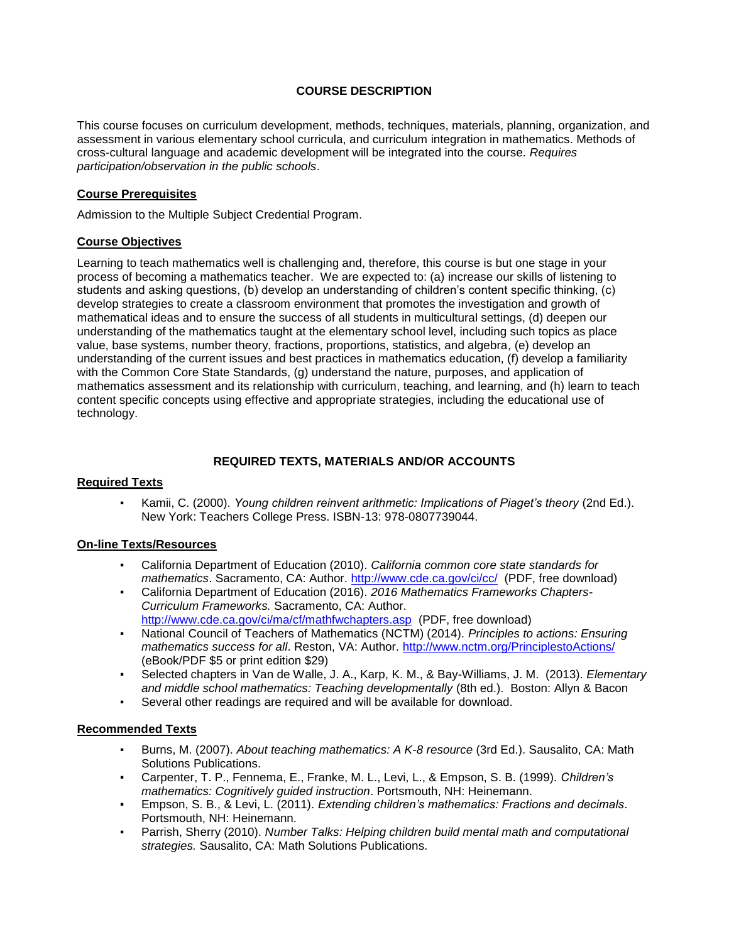## **COURSE DESCRIPTION**

This course focuses on curriculum development, methods, techniques, materials, planning, organization, and assessment in various elementary school curricula, and curriculum integration in mathematics. Methods of cross-cultural language and academic development will be integrated into the course. *Requires participation/observation in the public schools*.

### **Course Prerequisites**

Admission to the Multiple Subject Credential Program.

### **Course Objectives**

Learning to teach mathematics well is challenging and, therefore, this course is but one stage in your process of becoming a mathematics teacher. We are expected to: (a) increase our skills of listening to students and asking questions, (b) develop an understanding of children's content specific thinking, (c) develop strategies to create a classroom environment that promotes the investigation and growth of mathematical ideas and to ensure the success of all students in multicultural settings, (d) deepen our understanding of the mathematics taught at the elementary school level, including such topics as place value, base systems, number theory, fractions, proportions, statistics, and algebra, (e) develop an understanding of the current issues and best practices in mathematics education, (f) develop a familiarity with the Common Core State Standards, (g) understand the nature, purposes, and application of mathematics assessment and its relationship with curriculum, teaching, and learning, and (h) learn to teach content specific concepts using effective and appropriate strategies, including the educational use of technology.

### **REQUIRED TEXTS, MATERIALS AND/OR ACCOUNTS**

### **Required Texts**

▪ Kamii, C. (2000). *Young children reinvent arithmetic: Implications of Piaget's theory* (2nd Ed.). New York: Teachers College Press. ISBN-13: 978-0807739044.

### **On-line Texts/Resources**

- California Department of Education (2010). *California common core state standards for mathematics*. Sacramento, CA: Author.<http://www.cde.ca.gov/ci/cc/>(PDF, free download)
- California Department of Education (2016). *2016 Mathematics Frameworks Chapters-Curriculum Frameworks.* Sacramento, CA: Author. <http://www.cde.ca.gov/ci/ma/cf/mathfwchapters.asp> (PDF, free download)
- National Council of Teachers of Mathematics (NCTM) (2014). *Principles to actions: Ensuring mathematics success for all*. Reston, VA: Author.<http://www.nctm.org/PrinciplestoActions/> (eBook/PDF \$5 or print edition \$29)
- Selected chapters in Van de Walle, J. A., Karp, K. M., & Bay-Williams, J. M. (2013). *Elementary and middle school mathematics: Teaching developmentally* (8th ed.). Boston: Allyn & Bacon
- Several other readings are required and will be available for download.

## **Recommended Texts**

- Burns, M. (2007). *About teaching mathematics: A K-8 resource* (3rd Ed.). Sausalito, CA: Math Solutions Publications.
- Carpenter, T. P., Fennema, E., Franke, M. L., Levi, L., & Empson, S. B. (1999). *Children's mathematics: Cognitively guided instruction*. Portsmouth, NH: Heinemann.
- Empson, S. B., & Levi, L. (2011). *Extending children's mathematics: Fractions and decimals*. Portsmouth, NH: Heinemann.
- Parrish, Sherry (2010). *Number Talks: Helping children build mental math and computational strategies.* Sausalito, CA: Math Solutions Publications.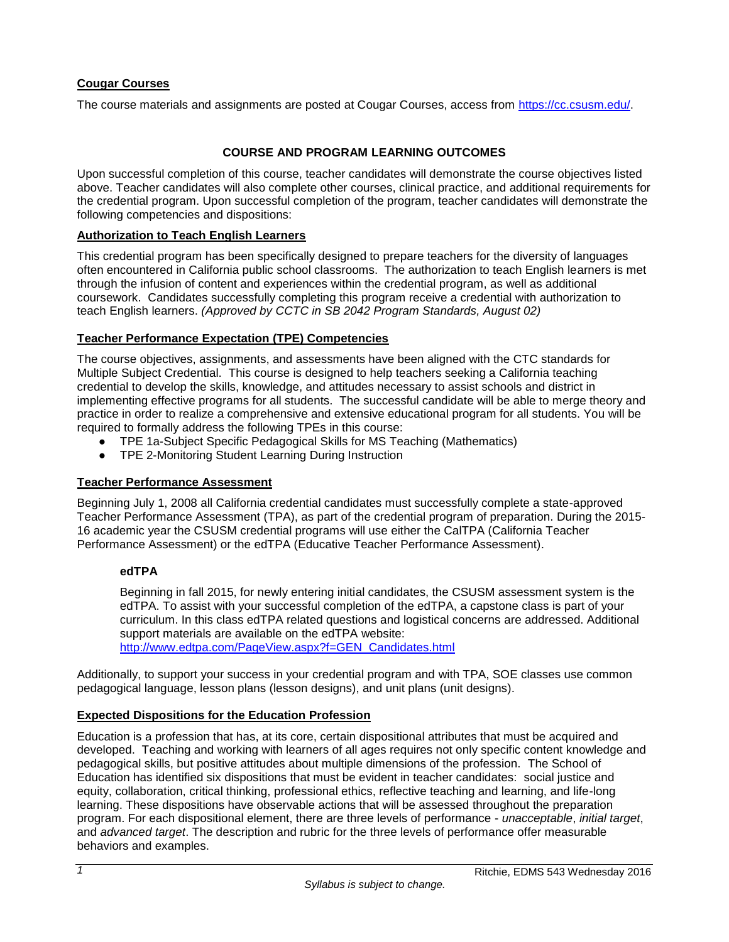## **Cougar Courses**

The course materials and assignments are posted at Cougar Courses, access from [https://cc.csusm.edu/.](https://cc.csusm.edu/)

## **COURSE AND PROGRAM LEARNING OUTCOMES**

Upon successful completion of this course, teacher candidates will demonstrate the course objectives listed above. Teacher candidates will also complete other courses, clinical practice, and additional requirements for the credential program. Upon successful completion of the program, teacher candidates will demonstrate the following competencies and dispositions:

### **Authorization to Teach English Learners**

This credential program has been specifically designed to prepare teachers for the diversity of languages often encountered in California public school classrooms. The authorization to teach English learners is met through the infusion of content and experiences within the credential program, as well as additional coursework. Candidates successfully completing this program receive a credential with authorization to teach English learners. *(Approved by CCTC in SB 2042 Program Standards, August 02)*

## **Teacher Performance Expectation (TPE) Competencies**

The course objectives, assignments, and assessments have been aligned with the CTC standards for Multiple Subject Credential. This course is designed to help teachers seeking a California teaching credential to develop the skills, knowledge, and attitudes necessary to assist schools and district in implementing effective programs for all students. The successful candidate will be able to merge theory and practice in order to realize a comprehensive and extensive educational program for all students. You will be required to formally address the following TPEs in this course:

- TPE 1a-Subject Specific Pedagogical Skills for MS Teaching (Mathematics)
- TPE 2-Monitoring Student Learning During Instruction

### **Teacher Performance Assessment**

Beginning July 1, 2008 all California credential candidates must successfully complete a state-approved Teacher Performance Assessment (TPA), as part of the credential program of preparation. During the 2015- 16 academic year the CSUSM credential programs will use either the CalTPA (California Teacher Performance Assessment) or the edTPA (Educative Teacher Performance Assessment).

### **edTPA**

Beginning in fall 2015, for newly entering initial candidates, the CSUSM assessment system is the edTPA. To assist with your successful completion of the edTPA, a capstone class is part of your curriculum. In this class edTPA related questions and logistical concerns are addressed. Additional support materials are available on the edTPA website: [http://www.edtpa.com/PageView.aspx?f=GEN\\_Candidates.html](http://www.edtpa.com/PageView.aspx?f=GEN_Candidates.html)

Additionally, to support your success in your credential program and with TPA, SOE classes use common pedagogical language, lesson plans (lesson designs), and unit plans (unit designs).

## **Expected Dispositions for the Education Profession**

Education is a profession that has, at its core, certain dispositional attributes that must be acquired and developed. Teaching and working with learners of all ages requires not only specific content knowledge and pedagogical skills, but positive attitudes about multiple dimensions of the profession. The School of Education has identified six dispositions that must be evident in teacher candidates: social justice and equity, collaboration, critical thinking, professional ethics, reflective teaching and learning, and life-long learning. These dispositions have observable actions that will be assessed throughout the preparation program. For each dispositional element, there are three levels of performance - *unacceptable*, *initial target*, and *advanced target*. The description and rubric for the three levels of performance offer measurable behaviors and examples.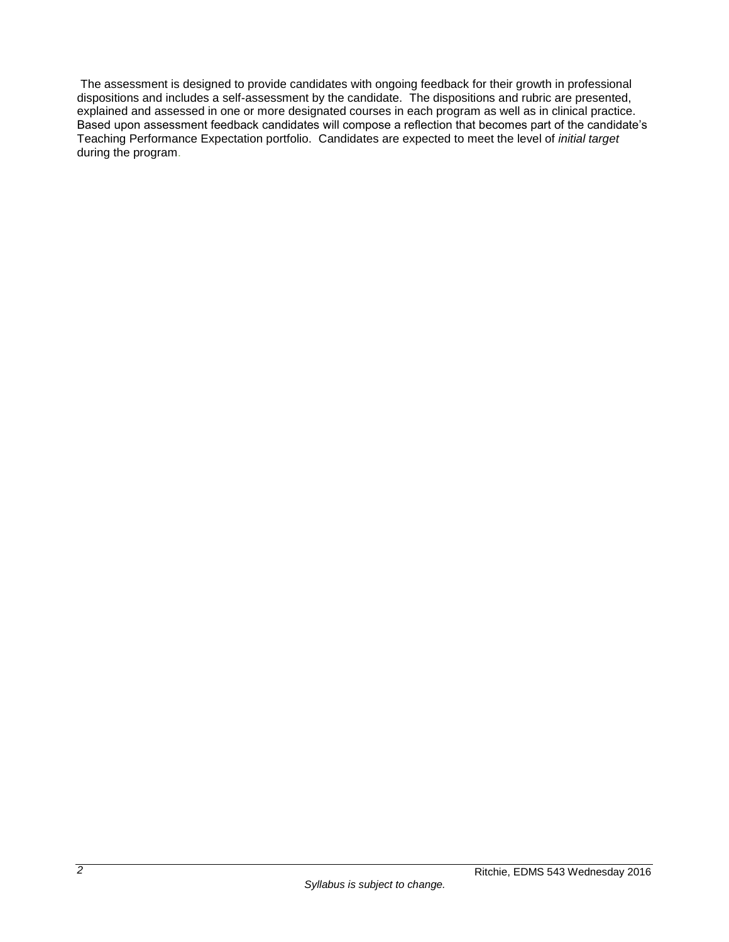The assessment is designed to provide candidates with ongoing feedback for their growth in professional dispositions and includes a self-assessment by the candidate. The dispositions and rubric are presented, explained and assessed in one or more designated courses in each program as well as in clinical practice. Based upon assessment feedback candidates will compose a reflection that becomes part of the candidate's Teaching Performance Expectation portfolio. Candidates are expected to meet the level of *initial target* during the program.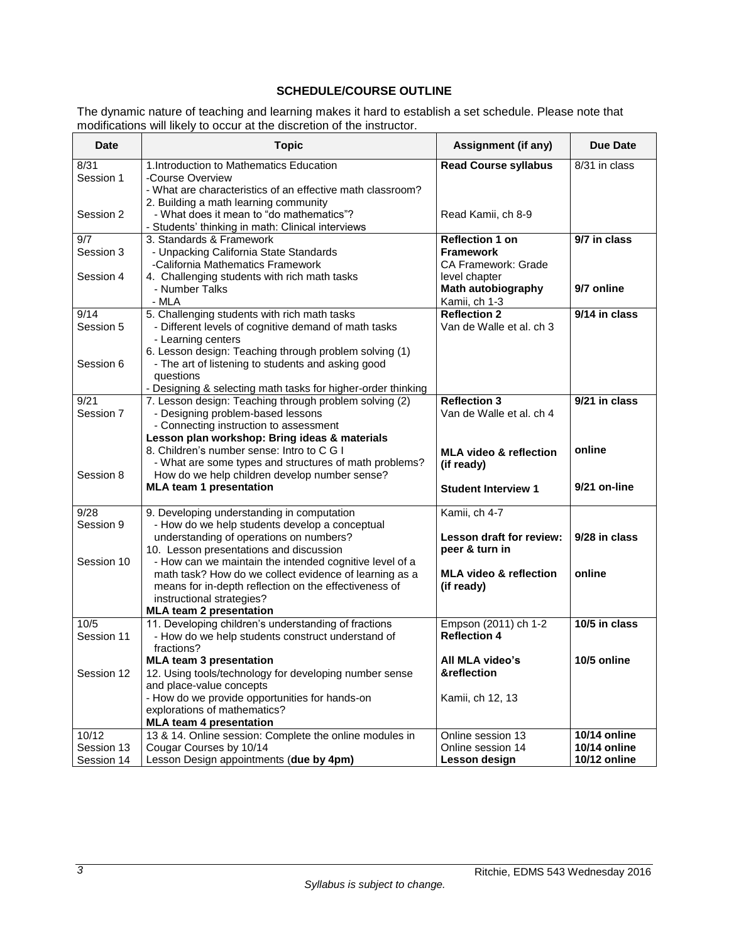# **SCHEDULE/COURSE OUTLINE**

The dynamic nature of teaching and learning makes it hard to establish a set schedule. Please note that modifications will likely to occur at the discretion of the instructor.

| <b>Read Course syllabus</b><br>8/31<br>1. Introduction to Mathematics Education<br>8/31 in class<br>Session 1<br>-Course Overview<br>- What are characteristics of an effective math classroom?<br>2. Building a math learning community<br>- What does it mean to "do mathematics"?<br>Session 2<br>Read Kamii, ch 8-9<br>- Students' thinking in math: Clinical interviews<br>9/7 in class<br>9/7<br>3. Standards & Framework<br><b>Reflection 1 on</b><br>Session 3<br><b>Framework</b><br>- Unpacking California State Standards<br>-California Mathematics Framework<br><b>CA Framework: Grade</b><br>4. Challenging students with rich math tasks<br>Session 4<br>level chapter<br>9/7 online<br>Math autobiography<br>- Number Talks<br>- MLA<br>Kamii, ch 1-3<br>9/14<br>5. Challenging students with rich math tasks<br><b>Reflection 2</b><br>9/14 in class<br>Session 5<br>- Different levels of cognitive demand of math tasks<br>Van de Walle et al. ch 3<br>- Learning centers<br>6. Lesson design: Teaching through problem solving (1)<br>- The art of listening to students and asking good<br>Session 6<br>questions<br>- Designing & selecting math tasks for higher-order thinking<br><b>Reflection 3</b><br>9/21 in class<br>7. Lesson design: Teaching through problem solving (2)<br>9/21<br>Session 7<br>- Designing problem-based lessons<br>Van de Walle et al. ch 4<br>- Connecting instruction to assessment<br>Lesson plan workshop: Bring ideas & materials<br>8. Children's number sense: Intro to C G I<br>online<br><b>MLA video &amp; reflection</b><br>- What are some types and structures of math problems?<br>(if ready)<br>Session 8<br>How do we help children develop number sense?<br><b>MLA team 1 presentation</b><br>9/21 on-line<br><b>Student Interview 1</b><br>Kamii, ch 4-7<br>9/28<br>9. Developing understanding in computation<br>Session 9<br>- How do we help students develop a conceptual<br>Lesson draft for review:<br>9/28 in class<br>understanding of operations on numbers?<br>10. Lesson presentations and discussion<br>peer & turn in<br>Session 10<br>- How can we maintain the intended cognitive level of a<br><b>MLA video &amp; reflection</b><br>online<br>math task? How do we collect evidence of learning as a<br>means for in-depth reflection on the effectiveness of<br>(if ready)<br>instructional strategies?<br><b>MLA team 2 presentation</b><br>10/5 in class<br>10/5<br>11. Developing children's understanding of fractions<br>Empson (2011) ch 1-2<br><b>Reflection 4</b><br>Session 11<br>- How do we help students construct understand of<br>fractions?<br>10/5 online<br><b>MLA team 3 presentation</b><br>All MLA video's<br>&reflection<br>Session 12<br>12. Using tools/technology for developing number sense<br>and place-value concepts<br>- How do we provide opportunities for hands-on<br>Kamii, ch 12, 13<br>explorations of mathematics?<br><b>MLA team 4 presentation</b><br>10/12<br>13 & 14. Online session: Complete the online modules in<br><b>10/14 online</b><br>Online session 13 | <b>Date</b> | <b>Topic</b> | Assignment (if any) | <b>Due Date</b> |
|-------------------------------------------------------------------------------------------------------------------------------------------------------------------------------------------------------------------------------------------------------------------------------------------------------------------------------------------------------------------------------------------------------------------------------------------------------------------------------------------------------------------------------------------------------------------------------------------------------------------------------------------------------------------------------------------------------------------------------------------------------------------------------------------------------------------------------------------------------------------------------------------------------------------------------------------------------------------------------------------------------------------------------------------------------------------------------------------------------------------------------------------------------------------------------------------------------------------------------------------------------------------------------------------------------------------------------------------------------------------------------------------------------------------------------------------------------------------------------------------------------------------------------------------------------------------------------------------------------------------------------------------------------------------------------------------------------------------------------------------------------------------------------------------------------------------------------------------------------------------------------------------------------------------------------------------------------------------------------------------------------------------------------------------------------------------------------------------------------------------------------------------------------------------------------------------------------------------------------------------------------------------------------------------------------------------------------------------------------------------------------------------------------------------------------------------------------------------------------------------------------------------------------------------------------------------------------------------------------------------------------------------------------------------------------------------------------------------------------------------------------------------------------------------------------------------------------------------------------------------------------------------------------------------------------------------------------------------------------------------------------------------------------------------------------------------------------------------------|-------------|--------------|---------------------|-----------------|
|                                                                                                                                                                                                                                                                                                                                                                                                                                                                                                                                                                                                                                                                                                                                                                                                                                                                                                                                                                                                                                                                                                                                                                                                                                                                                                                                                                                                                                                                                                                                                                                                                                                                                                                                                                                                                                                                                                                                                                                                                                                                                                                                                                                                                                                                                                                                                                                                                                                                                                                                                                                                                                                                                                                                                                                                                                                                                                                                                                                                                                                                                                 |             |              |                     |                 |
|                                                                                                                                                                                                                                                                                                                                                                                                                                                                                                                                                                                                                                                                                                                                                                                                                                                                                                                                                                                                                                                                                                                                                                                                                                                                                                                                                                                                                                                                                                                                                                                                                                                                                                                                                                                                                                                                                                                                                                                                                                                                                                                                                                                                                                                                                                                                                                                                                                                                                                                                                                                                                                                                                                                                                                                                                                                                                                                                                                                                                                                                                                 |             |              |                     |                 |
|                                                                                                                                                                                                                                                                                                                                                                                                                                                                                                                                                                                                                                                                                                                                                                                                                                                                                                                                                                                                                                                                                                                                                                                                                                                                                                                                                                                                                                                                                                                                                                                                                                                                                                                                                                                                                                                                                                                                                                                                                                                                                                                                                                                                                                                                                                                                                                                                                                                                                                                                                                                                                                                                                                                                                                                                                                                                                                                                                                                                                                                                                                 |             |              |                     |                 |
|                                                                                                                                                                                                                                                                                                                                                                                                                                                                                                                                                                                                                                                                                                                                                                                                                                                                                                                                                                                                                                                                                                                                                                                                                                                                                                                                                                                                                                                                                                                                                                                                                                                                                                                                                                                                                                                                                                                                                                                                                                                                                                                                                                                                                                                                                                                                                                                                                                                                                                                                                                                                                                                                                                                                                                                                                                                                                                                                                                                                                                                                                                 |             |              |                     |                 |
|                                                                                                                                                                                                                                                                                                                                                                                                                                                                                                                                                                                                                                                                                                                                                                                                                                                                                                                                                                                                                                                                                                                                                                                                                                                                                                                                                                                                                                                                                                                                                                                                                                                                                                                                                                                                                                                                                                                                                                                                                                                                                                                                                                                                                                                                                                                                                                                                                                                                                                                                                                                                                                                                                                                                                                                                                                                                                                                                                                                                                                                                                                 |             |              |                     |                 |
|                                                                                                                                                                                                                                                                                                                                                                                                                                                                                                                                                                                                                                                                                                                                                                                                                                                                                                                                                                                                                                                                                                                                                                                                                                                                                                                                                                                                                                                                                                                                                                                                                                                                                                                                                                                                                                                                                                                                                                                                                                                                                                                                                                                                                                                                                                                                                                                                                                                                                                                                                                                                                                                                                                                                                                                                                                                                                                                                                                                                                                                                                                 |             |              |                     |                 |
|                                                                                                                                                                                                                                                                                                                                                                                                                                                                                                                                                                                                                                                                                                                                                                                                                                                                                                                                                                                                                                                                                                                                                                                                                                                                                                                                                                                                                                                                                                                                                                                                                                                                                                                                                                                                                                                                                                                                                                                                                                                                                                                                                                                                                                                                                                                                                                                                                                                                                                                                                                                                                                                                                                                                                                                                                                                                                                                                                                                                                                                                                                 |             |              |                     |                 |
|                                                                                                                                                                                                                                                                                                                                                                                                                                                                                                                                                                                                                                                                                                                                                                                                                                                                                                                                                                                                                                                                                                                                                                                                                                                                                                                                                                                                                                                                                                                                                                                                                                                                                                                                                                                                                                                                                                                                                                                                                                                                                                                                                                                                                                                                                                                                                                                                                                                                                                                                                                                                                                                                                                                                                                                                                                                                                                                                                                                                                                                                                                 |             |              |                     |                 |
|                                                                                                                                                                                                                                                                                                                                                                                                                                                                                                                                                                                                                                                                                                                                                                                                                                                                                                                                                                                                                                                                                                                                                                                                                                                                                                                                                                                                                                                                                                                                                                                                                                                                                                                                                                                                                                                                                                                                                                                                                                                                                                                                                                                                                                                                                                                                                                                                                                                                                                                                                                                                                                                                                                                                                                                                                                                                                                                                                                                                                                                                                                 |             |              |                     |                 |
|                                                                                                                                                                                                                                                                                                                                                                                                                                                                                                                                                                                                                                                                                                                                                                                                                                                                                                                                                                                                                                                                                                                                                                                                                                                                                                                                                                                                                                                                                                                                                                                                                                                                                                                                                                                                                                                                                                                                                                                                                                                                                                                                                                                                                                                                                                                                                                                                                                                                                                                                                                                                                                                                                                                                                                                                                                                                                                                                                                                                                                                                                                 |             |              |                     |                 |
|                                                                                                                                                                                                                                                                                                                                                                                                                                                                                                                                                                                                                                                                                                                                                                                                                                                                                                                                                                                                                                                                                                                                                                                                                                                                                                                                                                                                                                                                                                                                                                                                                                                                                                                                                                                                                                                                                                                                                                                                                                                                                                                                                                                                                                                                                                                                                                                                                                                                                                                                                                                                                                                                                                                                                                                                                                                                                                                                                                                                                                                                                                 |             |              |                     |                 |
|                                                                                                                                                                                                                                                                                                                                                                                                                                                                                                                                                                                                                                                                                                                                                                                                                                                                                                                                                                                                                                                                                                                                                                                                                                                                                                                                                                                                                                                                                                                                                                                                                                                                                                                                                                                                                                                                                                                                                                                                                                                                                                                                                                                                                                                                                                                                                                                                                                                                                                                                                                                                                                                                                                                                                                                                                                                                                                                                                                                                                                                                                                 |             |              |                     |                 |
|                                                                                                                                                                                                                                                                                                                                                                                                                                                                                                                                                                                                                                                                                                                                                                                                                                                                                                                                                                                                                                                                                                                                                                                                                                                                                                                                                                                                                                                                                                                                                                                                                                                                                                                                                                                                                                                                                                                                                                                                                                                                                                                                                                                                                                                                                                                                                                                                                                                                                                                                                                                                                                                                                                                                                                                                                                                                                                                                                                                                                                                                                                 |             |              |                     |                 |
|                                                                                                                                                                                                                                                                                                                                                                                                                                                                                                                                                                                                                                                                                                                                                                                                                                                                                                                                                                                                                                                                                                                                                                                                                                                                                                                                                                                                                                                                                                                                                                                                                                                                                                                                                                                                                                                                                                                                                                                                                                                                                                                                                                                                                                                                                                                                                                                                                                                                                                                                                                                                                                                                                                                                                                                                                                                                                                                                                                                                                                                                                                 |             |              |                     |                 |
|                                                                                                                                                                                                                                                                                                                                                                                                                                                                                                                                                                                                                                                                                                                                                                                                                                                                                                                                                                                                                                                                                                                                                                                                                                                                                                                                                                                                                                                                                                                                                                                                                                                                                                                                                                                                                                                                                                                                                                                                                                                                                                                                                                                                                                                                                                                                                                                                                                                                                                                                                                                                                                                                                                                                                                                                                                                                                                                                                                                                                                                                                                 |             |              |                     |                 |
|                                                                                                                                                                                                                                                                                                                                                                                                                                                                                                                                                                                                                                                                                                                                                                                                                                                                                                                                                                                                                                                                                                                                                                                                                                                                                                                                                                                                                                                                                                                                                                                                                                                                                                                                                                                                                                                                                                                                                                                                                                                                                                                                                                                                                                                                                                                                                                                                                                                                                                                                                                                                                                                                                                                                                                                                                                                                                                                                                                                                                                                                                                 |             |              |                     |                 |
|                                                                                                                                                                                                                                                                                                                                                                                                                                                                                                                                                                                                                                                                                                                                                                                                                                                                                                                                                                                                                                                                                                                                                                                                                                                                                                                                                                                                                                                                                                                                                                                                                                                                                                                                                                                                                                                                                                                                                                                                                                                                                                                                                                                                                                                                                                                                                                                                                                                                                                                                                                                                                                                                                                                                                                                                                                                                                                                                                                                                                                                                                                 |             |              |                     |                 |
|                                                                                                                                                                                                                                                                                                                                                                                                                                                                                                                                                                                                                                                                                                                                                                                                                                                                                                                                                                                                                                                                                                                                                                                                                                                                                                                                                                                                                                                                                                                                                                                                                                                                                                                                                                                                                                                                                                                                                                                                                                                                                                                                                                                                                                                                                                                                                                                                                                                                                                                                                                                                                                                                                                                                                                                                                                                                                                                                                                                                                                                                                                 |             |              |                     |                 |
|                                                                                                                                                                                                                                                                                                                                                                                                                                                                                                                                                                                                                                                                                                                                                                                                                                                                                                                                                                                                                                                                                                                                                                                                                                                                                                                                                                                                                                                                                                                                                                                                                                                                                                                                                                                                                                                                                                                                                                                                                                                                                                                                                                                                                                                                                                                                                                                                                                                                                                                                                                                                                                                                                                                                                                                                                                                                                                                                                                                                                                                                                                 |             |              |                     |                 |
|                                                                                                                                                                                                                                                                                                                                                                                                                                                                                                                                                                                                                                                                                                                                                                                                                                                                                                                                                                                                                                                                                                                                                                                                                                                                                                                                                                                                                                                                                                                                                                                                                                                                                                                                                                                                                                                                                                                                                                                                                                                                                                                                                                                                                                                                                                                                                                                                                                                                                                                                                                                                                                                                                                                                                                                                                                                                                                                                                                                                                                                                                                 |             |              |                     |                 |
|                                                                                                                                                                                                                                                                                                                                                                                                                                                                                                                                                                                                                                                                                                                                                                                                                                                                                                                                                                                                                                                                                                                                                                                                                                                                                                                                                                                                                                                                                                                                                                                                                                                                                                                                                                                                                                                                                                                                                                                                                                                                                                                                                                                                                                                                                                                                                                                                                                                                                                                                                                                                                                                                                                                                                                                                                                                                                                                                                                                                                                                                                                 |             |              |                     |                 |
|                                                                                                                                                                                                                                                                                                                                                                                                                                                                                                                                                                                                                                                                                                                                                                                                                                                                                                                                                                                                                                                                                                                                                                                                                                                                                                                                                                                                                                                                                                                                                                                                                                                                                                                                                                                                                                                                                                                                                                                                                                                                                                                                                                                                                                                                                                                                                                                                                                                                                                                                                                                                                                                                                                                                                                                                                                                                                                                                                                                                                                                                                                 |             |              |                     |                 |
|                                                                                                                                                                                                                                                                                                                                                                                                                                                                                                                                                                                                                                                                                                                                                                                                                                                                                                                                                                                                                                                                                                                                                                                                                                                                                                                                                                                                                                                                                                                                                                                                                                                                                                                                                                                                                                                                                                                                                                                                                                                                                                                                                                                                                                                                                                                                                                                                                                                                                                                                                                                                                                                                                                                                                                                                                                                                                                                                                                                                                                                                                                 |             |              |                     |                 |
|                                                                                                                                                                                                                                                                                                                                                                                                                                                                                                                                                                                                                                                                                                                                                                                                                                                                                                                                                                                                                                                                                                                                                                                                                                                                                                                                                                                                                                                                                                                                                                                                                                                                                                                                                                                                                                                                                                                                                                                                                                                                                                                                                                                                                                                                                                                                                                                                                                                                                                                                                                                                                                                                                                                                                                                                                                                                                                                                                                                                                                                                                                 |             |              |                     |                 |
|                                                                                                                                                                                                                                                                                                                                                                                                                                                                                                                                                                                                                                                                                                                                                                                                                                                                                                                                                                                                                                                                                                                                                                                                                                                                                                                                                                                                                                                                                                                                                                                                                                                                                                                                                                                                                                                                                                                                                                                                                                                                                                                                                                                                                                                                                                                                                                                                                                                                                                                                                                                                                                                                                                                                                                                                                                                                                                                                                                                                                                                                                                 |             |              |                     |                 |
|                                                                                                                                                                                                                                                                                                                                                                                                                                                                                                                                                                                                                                                                                                                                                                                                                                                                                                                                                                                                                                                                                                                                                                                                                                                                                                                                                                                                                                                                                                                                                                                                                                                                                                                                                                                                                                                                                                                                                                                                                                                                                                                                                                                                                                                                                                                                                                                                                                                                                                                                                                                                                                                                                                                                                                                                                                                                                                                                                                                                                                                                                                 |             |              |                     |                 |
|                                                                                                                                                                                                                                                                                                                                                                                                                                                                                                                                                                                                                                                                                                                                                                                                                                                                                                                                                                                                                                                                                                                                                                                                                                                                                                                                                                                                                                                                                                                                                                                                                                                                                                                                                                                                                                                                                                                                                                                                                                                                                                                                                                                                                                                                                                                                                                                                                                                                                                                                                                                                                                                                                                                                                                                                                                                                                                                                                                                                                                                                                                 |             |              |                     |                 |
|                                                                                                                                                                                                                                                                                                                                                                                                                                                                                                                                                                                                                                                                                                                                                                                                                                                                                                                                                                                                                                                                                                                                                                                                                                                                                                                                                                                                                                                                                                                                                                                                                                                                                                                                                                                                                                                                                                                                                                                                                                                                                                                                                                                                                                                                                                                                                                                                                                                                                                                                                                                                                                                                                                                                                                                                                                                                                                                                                                                                                                                                                                 |             |              |                     |                 |
|                                                                                                                                                                                                                                                                                                                                                                                                                                                                                                                                                                                                                                                                                                                                                                                                                                                                                                                                                                                                                                                                                                                                                                                                                                                                                                                                                                                                                                                                                                                                                                                                                                                                                                                                                                                                                                                                                                                                                                                                                                                                                                                                                                                                                                                                                                                                                                                                                                                                                                                                                                                                                                                                                                                                                                                                                                                                                                                                                                                                                                                                                                 |             |              |                     |                 |
|                                                                                                                                                                                                                                                                                                                                                                                                                                                                                                                                                                                                                                                                                                                                                                                                                                                                                                                                                                                                                                                                                                                                                                                                                                                                                                                                                                                                                                                                                                                                                                                                                                                                                                                                                                                                                                                                                                                                                                                                                                                                                                                                                                                                                                                                                                                                                                                                                                                                                                                                                                                                                                                                                                                                                                                                                                                                                                                                                                                                                                                                                                 |             |              |                     |                 |
|                                                                                                                                                                                                                                                                                                                                                                                                                                                                                                                                                                                                                                                                                                                                                                                                                                                                                                                                                                                                                                                                                                                                                                                                                                                                                                                                                                                                                                                                                                                                                                                                                                                                                                                                                                                                                                                                                                                                                                                                                                                                                                                                                                                                                                                                                                                                                                                                                                                                                                                                                                                                                                                                                                                                                                                                                                                                                                                                                                                                                                                                                                 |             |              |                     |                 |
|                                                                                                                                                                                                                                                                                                                                                                                                                                                                                                                                                                                                                                                                                                                                                                                                                                                                                                                                                                                                                                                                                                                                                                                                                                                                                                                                                                                                                                                                                                                                                                                                                                                                                                                                                                                                                                                                                                                                                                                                                                                                                                                                                                                                                                                                                                                                                                                                                                                                                                                                                                                                                                                                                                                                                                                                                                                                                                                                                                                                                                                                                                 |             |              |                     |                 |
|                                                                                                                                                                                                                                                                                                                                                                                                                                                                                                                                                                                                                                                                                                                                                                                                                                                                                                                                                                                                                                                                                                                                                                                                                                                                                                                                                                                                                                                                                                                                                                                                                                                                                                                                                                                                                                                                                                                                                                                                                                                                                                                                                                                                                                                                                                                                                                                                                                                                                                                                                                                                                                                                                                                                                                                                                                                                                                                                                                                                                                                                                                 |             |              |                     |                 |
|                                                                                                                                                                                                                                                                                                                                                                                                                                                                                                                                                                                                                                                                                                                                                                                                                                                                                                                                                                                                                                                                                                                                                                                                                                                                                                                                                                                                                                                                                                                                                                                                                                                                                                                                                                                                                                                                                                                                                                                                                                                                                                                                                                                                                                                                                                                                                                                                                                                                                                                                                                                                                                                                                                                                                                                                                                                                                                                                                                                                                                                                                                 |             |              |                     |                 |
|                                                                                                                                                                                                                                                                                                                                                                                                                                                                                                                                                                                                                                                                                                                                                                                                                                                                                                                                                                                                                                                                                                                                                                                                                                                                                                                                                                                                                                                                                                                                                                                                                                                                                                                                                                                                                                                                                                                                                                                                                                                                                                                                                                                                                                                                                                                                                                                                                                                                                                                                                                                                                                                                                                                                                                                                                                                                                                                                                                                                                                                                                                 |             |              |                     |                 |
|                                                                                                                                                                                                                                                                                                                                                                                                                                                                                                                                                                                                                                                                                                                                                                                                                                                                                                                                                                                                                                                                                                                                                                                                                                                                                                                                                                                                                                                                                                                                                                                                                                                                                                                                                                                                                                                                                                                                                                                                                                                                                                                                                                                                                                                                                                                                                                                                                                                                                                                                                                                                                                                                                                                                                                                                                                                                                                                                                                                                                                                                                                 |             |              |                     |                 |
|                                                                                                                                                                                                                                                                                                                                                                                                                                                                                                                                                                                                                                                                                                                                                                                                                                                                                                                                                                                                                                                                                                                                                                                                                                                                                                                                                                                                                                                                                                                                                                                                                                                                                                                                                                                                                                                                                                                                                                                                                                                                                                                                                                                                                                                                                                                                                                                                                                                                                                                                                                                                                                                                                                                                                                                                                                                                                                                                                                                                                                                                                                 |             |              |                     |                 |
|                                                                                                                                                                                                                                                                                                                                                                                                                                                                                                                                                                                                                                                                                                                                                                                                                                                                                                                                                                                                                                                                                                                                                                                                                                                                                                                                                                                                                                                                                                                                                                                                                                                                                                                                                                                                                                                                                                                                                                                                                                                                                                                                                                                                                                                                                                                                                                                                                                                                                                                                                                                                                                                                                                                                                                                                                                                                                                                                                                                                                                                                                                 |             |              |                     |                 |
|                                                                                                                                                                                                                                                                                                                                                                                                                                                                                                                                                                                                                                                                                                                                                                                                                                                                                                                                                                                                                                                                                                                                                                                                                                                                                                                                                                                                                                                                                                                                                                                                                                                                                                                                                                                                                                                                                                                                                                                                                                                                                                                                                                                                                                                                                                                                                                                                                                                                                                                                                                                                                                                                                                                                                                                                                                                                                                                                                                                                                                                                                                 |             |              |                     |                 |
|                                                                                                                                                                                                                                                                                                                                                                                                                                                                                                                                                                                                                                                                                                                                                                                                                                                                                                                                                                                                                                                                                                                                                                                                                                                                                                                                                                                                                                                                                                                                                                                                                                                                                                                                                                                                                                                                                                                                                                                                                                                                                                                                                                                                                                                                                                                                                                                                                                                                                                                                                                                                                                                                                                                                                                                                                                                                                                                                                                                                                                                                                                 |             |              |                     |                 |
|                                                                                                                                                                                                                                                                                                                                                                                                                                                                                                                                                                                                                                                                                                                                                                                                                                                                                                                                                                                                                                                                                                                                                                                                                                                                                                                                                                                                                                                                                                                                                                                                                                                                                                                                                                                                                                                                                                                                                                                                                                                                                                                                                                                                                                                                                                                                                                                                                                                                                                                                                                                                                                                                                                                                                                                                                                                                                                                                                                                                                                                                                                 |             |              |                     |                 |
| 10/14 online<br>Cougar Courses by 10/14<br>Online session 14<br>Session 13<br>Lesson Design appointments (due by 4pm)<br>10/12 online<br>Session 14<br>Lesson design                                                                                                                                                                                                                                                                                                                                                                                                                                                                                                                                                                                                                                                                                                                                                                                                                                                                                                                                                                                                                                                                                                                                                                                                                                                                                                                                                                                                                                                                                                                                                                                                                                                                                                                                                                                                                                                                                                                                                                                                                                                                                                                                                                                                                                                                                                                                                                                                                                                                                                                                                                                                                                                                                                                                                                                                                                                                                                                            |             |              |                     |                 |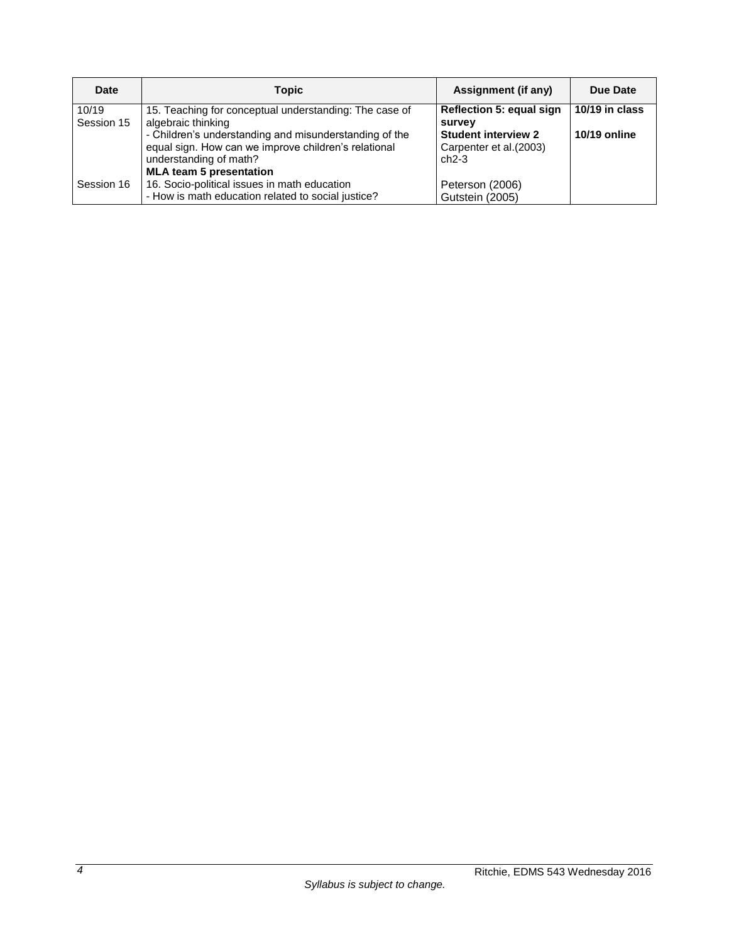| Date                | <b>Topic</b>                                                                                                                           | Assignment (if any)                                                     | Due Date                       |
|---------------------|----------------------------------------------------------------------------------------------------------------------------------------|-------------------------------------------------------------------------|--------------------------------|
| 10/19<br>Session 15 | 15. Teaching for conceptual understanding: The case of<br>algebraic thinking<br>- Children's understanding and misunderstanding of the | <b>Reflection 5: equal sign</b><br>survey<br><b>Student interview 2</b> | 10/19 in class<br>10/19 online |
|                     | equal sign. How can we improve children's relational<br>understanding of math?<br><b>MLA team 5 presentation</b>                       | Carpenter et al. (2003)<br>$ch2-3$                                      |                                |
| Session 16          | 16. Socio-political issues in math education<br>- How is math education related to social justice?                                     | Peterson (2006)<br>Gutstein (2005)                                      |                                |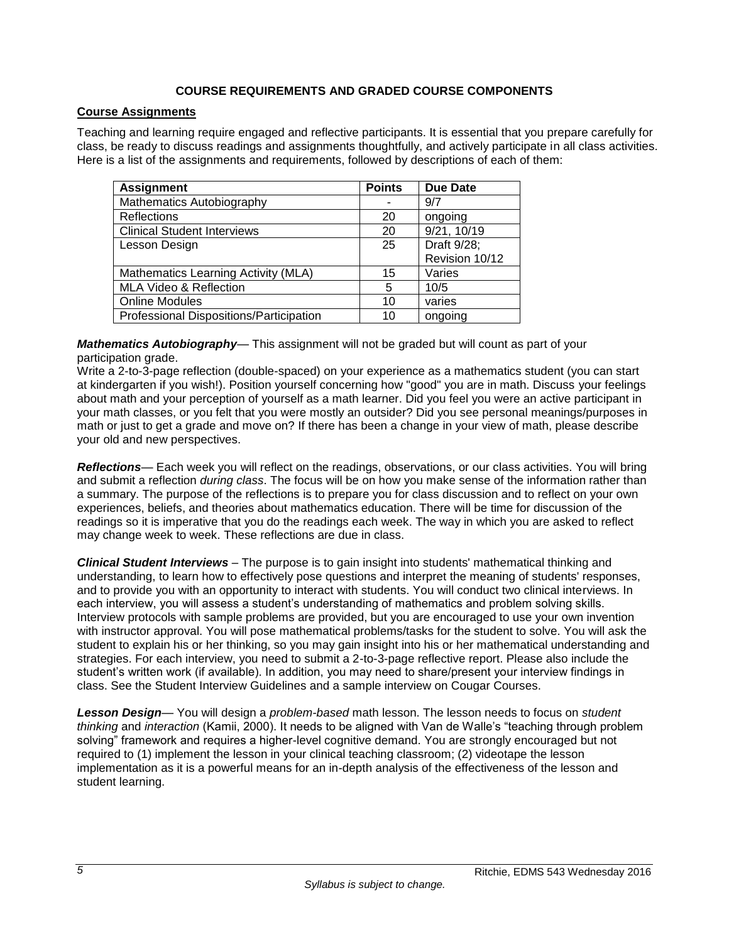## **COURSE REQUIREMENTS AND GRADED COURSE COMPONENTS**

## **Course Assignments**

Teaching and learning require engaged and reflective participants. It is essential that you prepare carefully for class, be ready to discuss readings and assignments thoughtfully, and actively participate in all class activities. Here is a list of the assignments and requirements, followed by descriptions of each of them:

| <b>Assignment</b>                       | <b>Points</b> | <b>Due Date</b> |
|-----------------------------------------|---------------|-----------------|
| Mathematics Autobiography               |               | 9/7             |
| Reflections                             | 20            | ongoing         |
| <b>Clinical Student Interviews</b>      | 20            | 9/21, 10/19     |
| Lesson Design                           | 25            | Draft 9/28;     |
|                                         |               | Revision 10/12  |
| Mathematics Learning Activity (MLA)     | 15            | Varies          |
| MLA Video & Reflection                  | 5             | 10/5            |
| <b>Online Modules</b>                   | 10            | varies          |
| Professional Dispositions/Participation | 10            | ongoing         |

*Mathematics Autobiography*— This assignment will not be graded but will count as part of your participation grade.

Write a 2-to-3-page reflection (double-spaced) on your experience as a mathematics student (you can start at kindergarten if you wish!). Position yourself concerning how "good" you are in math. Discuss your feelings about math and your perception of yourself as a math learner. Did you feel you were an active participant in your math classes, or you felt that you were mostly an outsider? Did you see personal meanings/purposes in math or just to get a grade and move on? If there has been a change in your view of math, please describe your old and new perspectives.

*Reflections*— Each week you will reflect on the readings, observations, or our class activities. You will bring and submit a reflection *during class*. The focus will be on how you make sense of the information rather than a summary. The purpose of the reflections is to prepare you for class discussion and to reflect on your own experiences, beliefs, and theories about mathematics education. There will be time for discussion of the readings so it is imperative that you do the readings each week. The way in which you are asked to reflect may change week to week. These reflections are due in class.

*Clinical Student Interviews* – The purpose is to gain insight into students' mathematical thinking and understanding, to learn how to effectively pose questions and interpret the meaning of students' responses, and to provide you with an opportunity to interact with students. You will conduct two clinical interviews. In each interview, you will assess a student's understanding of mathematics and problem solving skills. Interview protocols with sample problems are provided, but you are encouraged to use your own invention with instructor approval. You will pose mathematical problems/tasks for the student to solve. You will ask the student to explain his or her thinking, so you may gain insight into his or her mathematical understanding and strategies. For each interview, you need to submit a 2-to-3-page reflective report. Please also include the student's written work (if available). In addition, you may need to share/present your interview findings in class. See the Student Interview Guidelines and a sample interview on Cougar Courses.

*Lesson Design*— You will design a *problem-based* math lesson. The lesson needs to focus on *student thinking* and *interaction* (Kamii, 2000). It needs to be aligned with Van de Walle's "teaching through problem solving" framework and requires a higher-level cognitive demand. You are strongly encouraged but not required to (1) implement the lesson in your clinical teaching classroom; (2) videotape the lesson implementation as it is a powerful means for an in-depth analysis of the effectiveness of the lesson and student learning.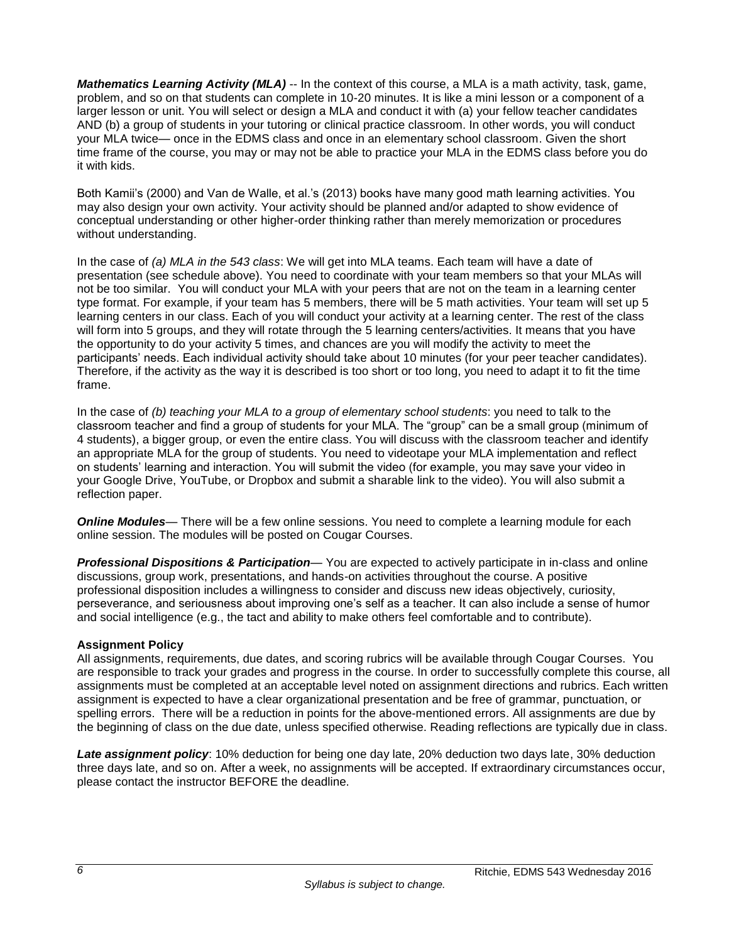*Mathematics Learning Activity (MLA)* -- In the context of this course, a MLA is a math activity, task, game, problem, and so on that students can complete in 10-20 minutes. It is like a mini lesson or a component of a larger lesson or unit. You will select or design a MLA and conduct it with (a) your fellow teacher candidates AND (b) a group of students in your tutoring or clinical practice classroom. In other words, you will conduct your MLA twice— once in the EDMS class and once in an elementary school classroom. Given the short time frame of the course, you may or may not be able to practice your MLA in the EDMS class before you do it with kids.

Both Kamii's (2000) and Van de Walle, et al.'s (2013) books have many good math learning activities. You may also design your own activity. Your activity should be planned and/or adapted to show evidence of conceptual understanding or other higher-order thinking rather than merely memorization or procedures without understanding.

In the case of *(a) MLA in the 543 class*: We will get into MLA teams. Each team will have a date of presentation (see schedule above). You need to coordinate with your team members so that your MLAs will not be too similar. You will conduct your MLA with your peers that are not on the team in a learning center type format. For example, if your team has 5 members, there will be 5 math activities. Your team will set up 5 learning centers in our class. Each of you will conduct your activity at a learning center. The rest of the class will form into 5 groups, and they will rotate through the 5 learning centers/activities. It means that you have the opportunity to do your activity 5 times, and chances are you will modify the activity to meet the participants' needs. Each individual activity should take about 10 minutes (for your peer teacher candidates). Therefore, if the activity as the way it is described is too short or too long, you need to adapt it to fit the time frame.

In the case of *(b) teaching your MLA to a group of elementary school students*: you need to talk to the classroom teacher and find a group of students for your MLA. The "group" can be a small group (minimum of 4 students), a bigger group, or even the entire class. You will discuss with the classroom teacher and identify an appropriate MLA for the group of students. You need to videotape your MLA implementation and reflect on students' learning and interaction. You will submit the video (for example, you may save your video in your Google Drive, YouTube, or Dropbox and submit a sharable link to the video). You will also submit a reflection paper.

**Online Modules**— There will be a few online sessions. You need to complete a learning module for each online session. The modules will be posted on Cougar Courses.

*Professional Dispositions & Participation*— You are expected to actively participate in in-class and online discussions, group work, presentations, and hands-on activities throughout the course. A positive professional disposition includes a willingness to consider and discuss new ideas objectively, curiosity, perseverance, and seriousness about improving one's self as a teacher. It can also include a sense of humor and social intelligence (e.g., the tact and ability to make others feel comfortable and to contribute).

## **Assignment Policy**

All assignments, requirements, due dates, and scoring rubrics will be available through Cougar Courses. You are responsible to track your grades and progress in the course. In order to successfully complete this course, all assignments must be completed at an acceptable level noted on assignment directions and rubrics. Each written assignment is expected to have a clear organizational presentation and be free of grammar, punctuation, or spelling errors. There will be a reduction in points for the above-mentioned errors. All assignments are due by the beginning of class on the due date, unless specified otherwise. Reading reflections are typically due in class.

*Late assignment policy*: 10% deduction for being one day late, 20% deduction two days late, 30% deduction three days late, and so on. After a week, no assignments will be accepted. If extraordinary circumstances occur, please contact the instructor BEFORE the deadline.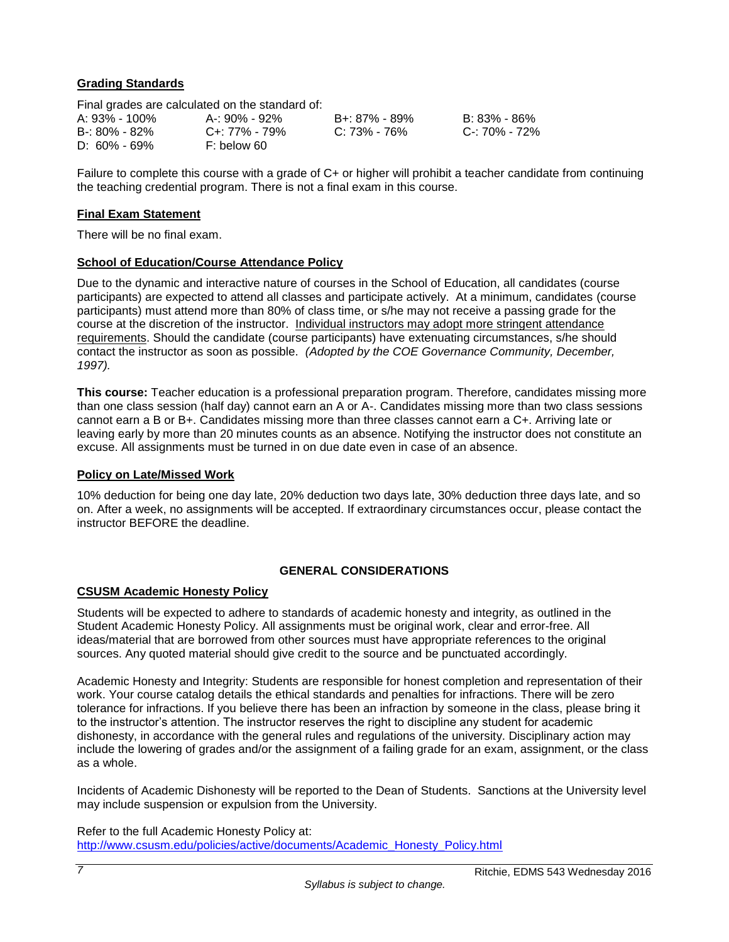## **Grading Standards**

|                   | Final grades are calculated on the standard of: |               |               |
|-------------------|-------------------------------------------------|---------------|---------------|
| A: 93% - 100%     | A-: 90% - 92%                                   | B+: 87% - 89% | B: 83% - 86%  |
| $B - 80\% - 82\%$ | C+: 77% - 79%                                   | C: 73% - 76%  | C-: 70% - 72% |
| $D: 60\% - 69\%$  | F: below 60                                     |               |               |

Failure to complete this course with a grade of C+ or higher will prohibit a teacher candidate from continuing the teaching credential program. There is not a final exam in this course.

### **Final Exam Statement**

There will be no final exam.

### **School of Education/Course Attendance Policy**

Due to the dynamic and interactive nature of courses in the School of Education, all candidates (course participants) are expected to attend all classes and participate actively. At a minimum, candidates (course participants) must attend more than 80% of class time, or s/he may not receive a passing grade for the course at the discretion of the instructor. Individual instructors may adopt more stringent attendance requirements. Should the candidate (course participants) have extenuating circumstances, s/he should contact the instructor as soon as possible. *(Adopted by the COE Governance Community, December, 1997).*

**This course:** Teacher education is a professional preparation program. Therefore, candidates missing more than one class session (half day) cannot earn an A or A-. Candidates missing more than two class sessions cannot earn a B or B+. Candidates missing more than three classes cannot earn a C+. Arriving late or leaving early by more than 20 minutes counts as an absence. Notifying the instructor does not constitute an excuse. All assignments must be turned in on due date even in case of an absence.

### **Policy on Late/Missed Work**

10% deduction for being one day late, 20% deduction two days late, 30% deduction three days late, and so on. After a week, no assignments will be accepted. If extraordinary circumstances occur, please contact the instructor BEFORE the deadline.

## **GENERAL CONSIDERATIONS**

## **CSUSM Academic Honesty Policy**

Students will be expected to adhere to standards of academic honesty and integrity, as outlined in the Student Academic Honesty Policy. All assignments must be original work, clear and error-free. All ideas/material that are borrowed from other sources must have appropriate references to the original sources. Any quoted material should give credit to the source and be punctuated accordingly.

Academic Honesty and Integrity: Students are responsible for honest completion and representation of their work. Your course catalog details the ethical standards and penalties for infractions. There will be zero tolerance for infractions. If you believe there has been an infraction by someone in the class, please bring it to the instructor's attention. The instructor reserves the right to discipline any student for academic dishonesty, in accordance with the general rules and regulations of the university. Disciplinary action may include the lowering of grades and/or the assignment of a failing grade for an exam, assignment, or the class as a whole.

Incidents of Academic Dishonesty will be reported to the Dean of Students. Sanctions at the University level may include suspension or expulsion from the University.

Refer to the full Academic Honesty Policy at: [http://www.csusm.edu/policies/active/documents/Academic\\_Honesty\\_Policy.html](http://www.csusm.edu/policies/active/documents/Academic_Honesty_Policy.html)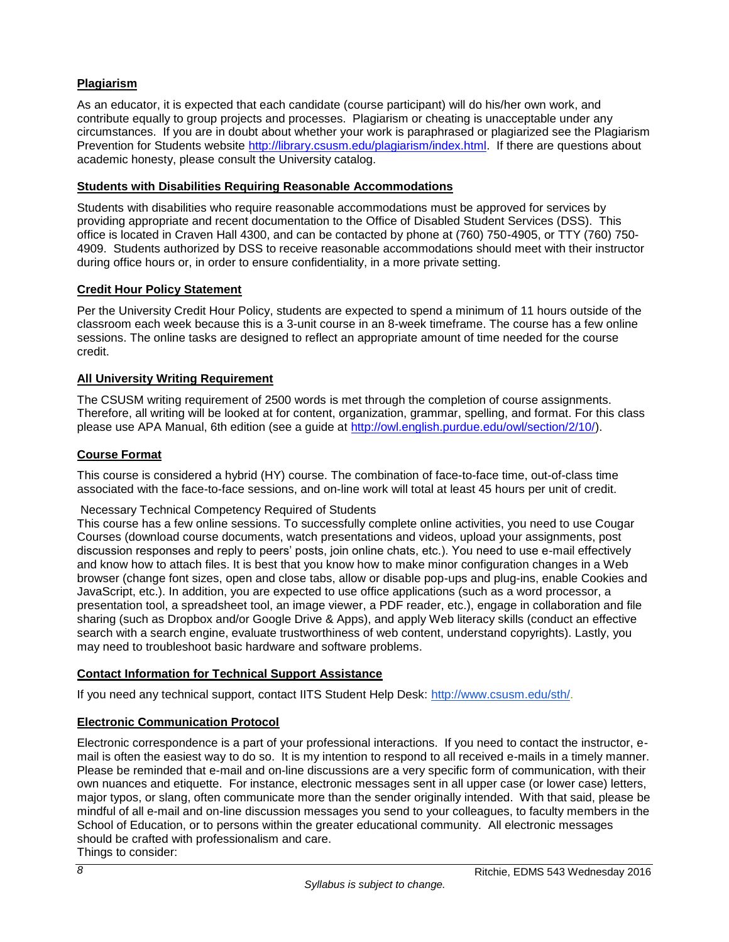# **Plagiarism**

As an educator, it is expected that each candidate (course participant) will do his/her own work, and contribute equally to group projects and processes. Plagiarism or cheating is unacceptable under any circumstances. If you are in doubt about whether your work is paraphrased or plagiarized see the Plagiarism Prevention for Students website [http://library.csusm.edu/plagiarism/index.html.](http://library.csusm.edu/plagiarism/index.html) If there are questions about academic honesty, please consult the University catalog.

## **Students with Disabilities Requiring Reasonable Accommodations**

Students with disabilities who require reasonable accommodations must be approved for services by providing appropriate and recent documentation to the Office of Disabled Student Services (DSS). This office is located in Craven Hall 4300, and can be contacted by phone at (760) 750-4905, or TTY (760) 750- 4909. Students authorized by DSS to receive reasonable accommodations should meet with their instructor during office hours or, in order to ensure confidentiality, in a more private setting.

## **Credit Hour Policy Statement**

Per the University Credit Hour Policy, students are expected to spend a minimum of 11 hours outside of the classroom each week because this is a 3-unit course in an 8-week timeframe. The course has a few online sessions. The online tasks are designed to reflect an appropriate amount of time needed for the course credit.

## **All University Writing Requirement**

The CSUSM writing requirement of 2500 words is met through the completion of course assignments. Therefore, all writing will be looked at for content, organization, grammar, spelling, and format. For this class please use APA Manual, 6th edition (see a guide at [http://owl.english.purdue.edu/owl/section/2/10/\)](http://owl.english.purdue.edu/owl/section/2/10/).

## **Course Format**

This course is considered a hybrid (HY) course. The combination of face-to-face time, out-of-class time associated with the face-to-face sessions, and on-line work will total at least 45 hours per unit of credit.

## Necessary Technical Competency Required of Students

This course has a few online sessions. To successfully complete online activities, you need to use Cougar Courses (download course documents, watch presentations and videos, upload your assignments, post discussion responses and reply to peers' posts, join online chats, etc.). You need to use e-mail effectively and know how to attach files. It is best that you know how to make minor configuration changes in a Web browser (change font sizes, open and close tabs, allow or disable pop-ups and plug-ins, enable Cookies and JavaScript, etc.). In addition, you are expected to use office applications (such as a word processor, a presentation tool, a spreadsheet tool, an image viewer, a PDF reader, etc.), engage in collaboration and file sharing (such as Dropbox and/or Google Drive & Apps), and apply Web literacy skills (conduct an effective search with a search engine, evaluate trustworthiness of web content, understand copyrights). Lastly, you may need to troubleshoot basic hardware and software problems.

## **Contact Information for Technical Support Assistance**

If you need any technical support, contact IITS Student Help Desk[:](http://www.csusm.edu/sth/) [http://www.csusm.edu/sth/.](http://www.csusm.edu/sth/)

## **Electronic Communication Protocol**

Electronic correspondence is a part of your professional interactions. If you need to contact the instructor, email is often the easiest way to do so. It is my intention to respond to all received e-mails in a timely manner. Please be reminded that e-mail and on-line discussions are a very specific form of communication, with their own nuances and etiquette. For instance, electronic messages sent in all upper case (or lower case) letters, major typos, or slang, often communicate more than the sender originally intended. With that said, please be mindful of all e-mail and on-line discussion messages you send to your colleagues, to faculty members in the School of Education, or to persons within the greater educational community. All electronic messages should be crafted with professionalism and care.

Things to consider: